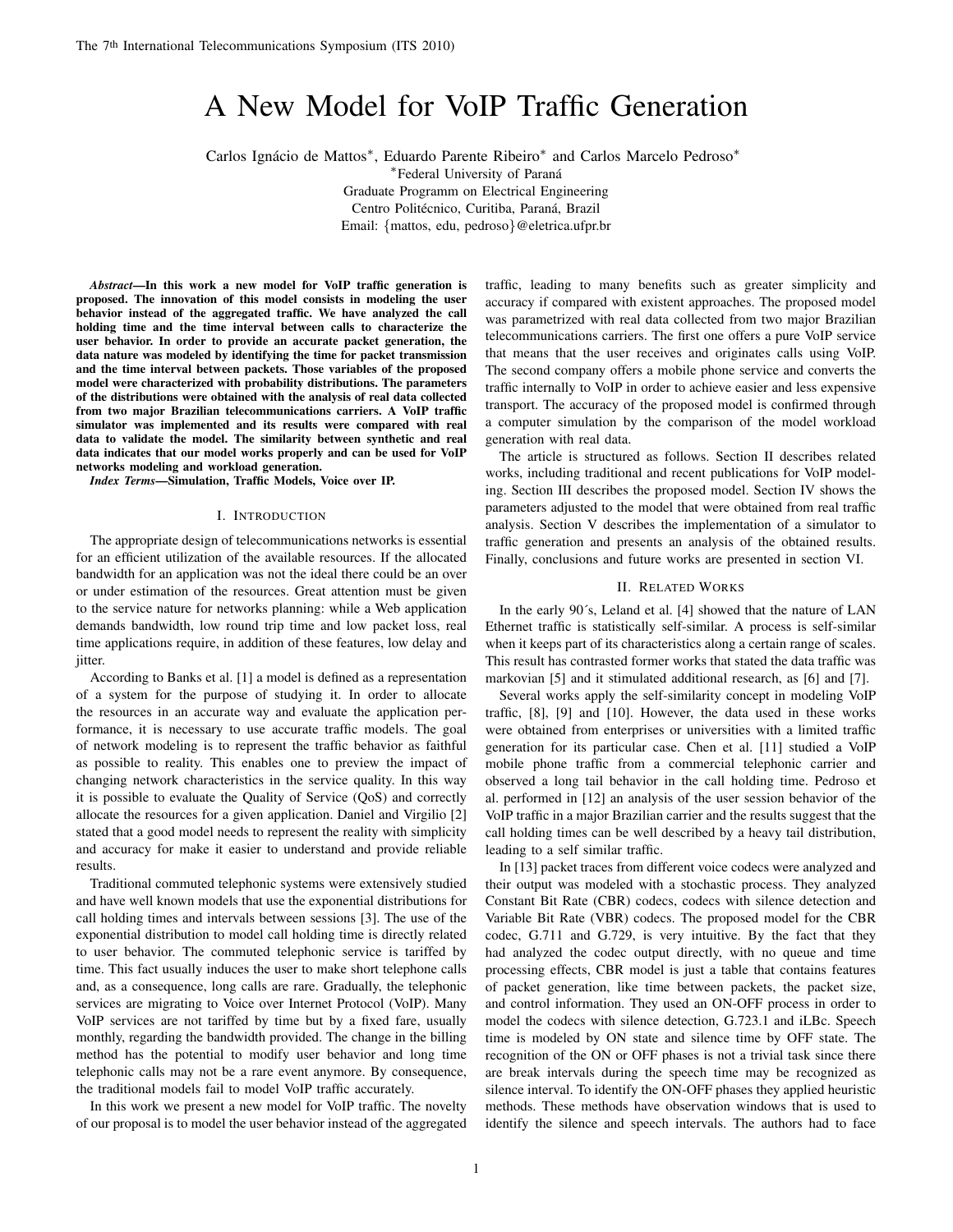# A New Model for VoIP Traffic Generation

Carlos Ignácio de Mattos\*, Eduardo Parente Ribeiro\* and Carlos Marcelo Pedroso\*

∗ Federal University of Parana´

Graduate Programm on Electrical Engineering Centro Politécnico, Curitiba, Paraná, Brazil Email: {mattos, edu, pedroso}@eletrica.ufpr.br

*Abstract*—In this work a new model for VoIP traffic generation is proposed. The innovation of this model consists in modeling the user behavior instead of the aggregated traffic. We have analyzed the call holding time and the time interval between calls to characterize the user behavior. In order to provide an accurate packet generation, the data nature was modeled by identifying the time for packet transmission and the time interval between packets. Those variables of the proposed model were characterized with probability distributions. The parameters of the distributions were obtained with the analysis of real data collected from two major Brazilian telecommunications carriers. A VoIP traffic simulator was implemented and its results were compared with real data to validate the model. The similarity between synthetic and real data indicates that our model works properly and can be used for VoIP networks modeling and workload generation.

*Index Terms*—Simulation, Traffic Models, Voice over IP.

#### I. INTRODUCTION

The appropriate design of telecommunications networks is essential for an efficient utilization of the available resources. If the allocated bandwidth for an application was not the ideal there could be an over or under estimation of the resources. Great attention must be given to the service nature for networks planning: while a Web application demands bandwidth, low round trip time and low packet loss, real time applications require, in addition of these features, low delay and jitter.

According to Banks et al. [1] a model is defined as a representation of a system for the purpose of studying it. In order to allocate the resources in an accurate way and evaluate the application performance, it is necessary to use accurate traffic models. The goal of network modeling is to represent the traffic behavior as faithful as possible to reality. This enables one to preview the impact of changing network characteristics in the service quality. In this way it is possible to evaluate the Quality of Service (QoS) and correctly allocate the resources for a given application. Daniel and Virgilio [2] stated that a good model needs to represent the reality with simplicity and accuracy for make it easier to understand and provide reliable results.

Traditional commuted telephonic systems were extensively studied and have well known models that use the exponential distributions for call holding times and intervals between sessions [3]. The use of the exponential distribution to model call holding time is directly related to user behavior. The commuted telephonic service is tariffed by time. This fact usually induces the user to make short telephone calls and, as a consequence, long calls are rare. Gradually, the telephonic services are migrating to Voice over Internet Protocol (VoIP). Many VoIP services are not tariffed by time but by a fixed fare, usually monthly, regarding the bandwidth provided. The change in the billing method has the potential to modify user behavior and long time telephonic calls may not be a rare event anymore. By consequence, the traditional models fail to model VoIP traffic accurately.

In this work we present a new model for VoIP traffic. The novelty of our proposal is to model the user behavior instead of the aggregated traffic, leading to many benefits such as greater simplicity and accuracy if compared with existent approaches. The proposed model was parametrized with real data collected from two major Brazilian telecommunications carriers. The first one offers a pure VoIP service that means that the user receives and originates calls using VoIP. The second company offers a mobile phone service and converts the traffic internally to VoIP in order to achieve easier and less expensive transport. The accuracy of the proposed model is confirmed through a computer simulation by the comparison of the model workload generation with real data.

The article is structured as follows. Section II describes related works, including traditional and recent publications for VoIP modeling. Section III describes the proposed model. Section IV shows the parameters adjusted to the model that were obtained from real traffic analysis. Section V describes the implementation of a simulator to traffic generation and presents an analysis of the obtained results. Finally, conclusions and future works are presented in section VI.

## II. RELATED WORKS

In the early 90´s, Leland et al. [4] showed that the nature of LAN Ethernet traffic is statistically self-similar. A process is self-similar when it keeps part of its characteristics along a certain range of scales. This result has contrasted former works that stated the data traffic was markovian [5] and it stimulated additional research, as [6] and [7].

Several works apply the self-similarity concept in modeling VoIP traffic, [8], [9] and [10]. However, the data used in these works were obtained from enterprises or universities with a limited traffic generation for its particular case. Chen et al. [11] studied a VoIP mobile phone traffic from a commercial telephonic carrier and observed a long tail behavior in the call holding time. Pedroso et al. performed in [12] an analysis of the user session behavior of the VoIP traffic in a major Brazilian carrier and the results suggest that the call holding times can be well described by a heavy tail distribution, leading to a self similar traffic.

In [13] packet traces from different voice codecs were analyzed and their output was modeled with a stochastic process. They analyzed Constant Bit Rate (CBR) codecs, codecs with silence detection and Variable Bit Rate (VBR) codecs. The proposed model for the CBR codec, G.711 and G.729, is very intuitive. By the fact that they had analyzed the codec output directly, with no queue and time processing effects, CBR model is just a table that contains features of packet generation, like time between packets, the packet size, and control information. They used an ON-OFF process in order to model the codecs with silence detection, G.723.1 and iLBc. Speech time is modeled by ON state and silence time by OFF state. The recognition of the ON or OFF phases is not a trivial task since there are break intervals during the speech time may be recognized as silence interval. To identify the ON-OFF phases they applied heuristic methods. These methods have observation windows that is used to identify the silence and speech intervals. The authors had to face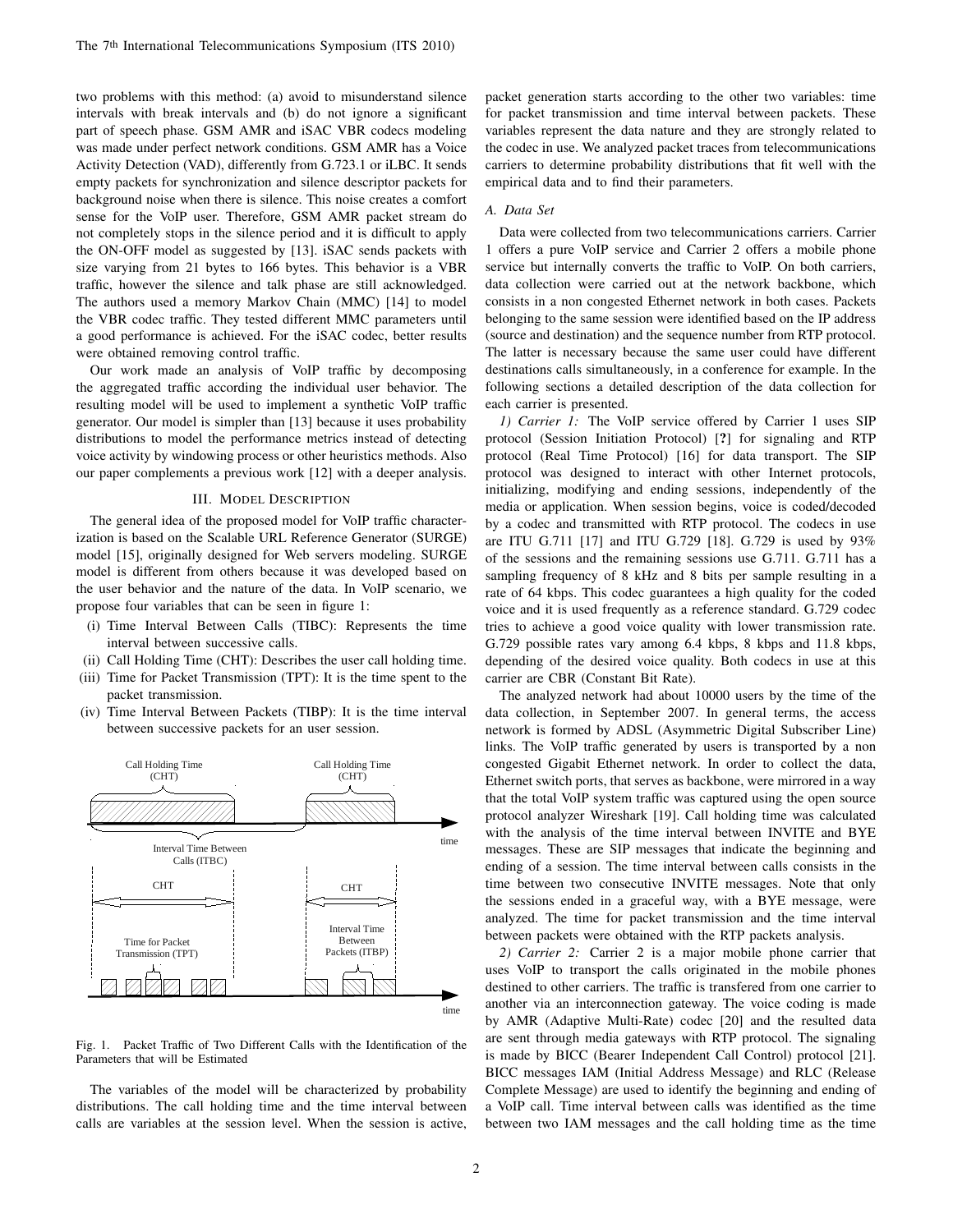two problems with this method: (a) avoid to misunderstand silence intervals with break intervals and (b) do not ignore a significant part of speech phase. GSM AMR and iSAC VBR codecs modeling was made under perfect network conditions. GSM AMR has a Voice Activity Detection (VAD), differently from G.723.1 or iLBC. It sends empty packets for synchronization and silence descriptor packets for background noise when there is silence. This noise creates a comfort sense for the VoIP user. Therefore, GSM AMR packet stream do not completely stops in the silence period and it is difficult to apply the ON-OFF model as suggested by [13]. iSAC sends packets with size varying from 21 bytes to 166 bytes. This behavior is a VBR traffic, however the silence and talk phase are still acknowledged. The authors used a memory Markov Chain (MMC) [14] to model the VBR codec traffic. They tested different MMC parameters until a good performance is achieved. For the iSAC codec, better results were obtained removing control traffic.

Our work made an analysis of VoIP traffic by decomposing the aggregated traffic according the individual user behavior. The resulting model will be used to implement a synthetic VoIP traffic generator. Our model is simpler than [13] because it uses probability distributions to model the performance metrics instead of detecting voice activity by windowing process or other heuristics methods. Also our paper complements a previous work [12] with a deeper analysis.

#### III. MODEL DESCRIPTION

The general idea of the proposed model for VoIP traffic characterization is based on the Scalable URL Reference Generator (SURGE) model [15], originally designed for Web servers modeling. SURGE model is different from others because it was developed based on the user behavior and the nature of the data. In VoIP scenario, we propose four variables that can be seen in figure 1:

- (i) Time Interval Between Calls (TIBC): Represents the time interval between successive calls.
- (ii) Call Holding Time (CHT): Describes the user call holding time.
- (iii) Time for Packet Transmission (TPT): It is the time spent to the packet transmission.
- (iv) Time Interval Between Packets (TIBP): It is the time interval between successive packets for an user session.



Fig. 1. Packet Traffic of Two Different Calls with the Identification of the Parameters that will be Estimated

The variables of the model will be characterized by probability distributions. The call holding time and the time interval between calls are variables at the session level. When the session is active,

packet generation starts according to the other two variables: time for packet transmission and time interval between packets. These variables represent the data nature and they are strongly related to the codec in use. We analyzed packet traces from telecommunications carriers to determine probability distributions that fit well with the empirical data and to find their parameters.

# *A. Data Set*

Data were collected from two telecommunications carriers. Carrier 1 offers a pure VoIP service and Carrier 2 offers a mobile phone service but internally converts the traffic to VoIP. On both carriers, data collection were carried out at the network backbone, which consists in a non congested Ethernet network in both cases. Packets belonging to the same session were identified based on the IP address (source and destination) and the sequence number from RTP protocol. The latter is necessary because the same user could have different destinations calls simultaneously, in a conference for example. In the following sections a detailed description of the data collection for each carrier is presented.

*1) Carrier 1:* The VoIP service offered by Carrier 1 uses SIP protocol (Session Initiation Protocol) [?] for signaling and RTP protocol (Real Time Protocol) [16] for data transport. The SIP protocol was designed to interact with other Internet protocols, initializing, modifying and ending sessions, independently of the media or application. When session begins, voice is coded/decoded by a codec and transmitted with RTP protocol. The codecs in use are ITU G.711 [17] and ITU G.729 [18]. G.729 is used by 93% of the sessions and the remaining sessions use G.711. G.711 has a sampling frequency of 8 kHz and 8 bits per sample resulting in a rate of 64 kbps. This codec guarantees a high quality for the coded voice and it is used frequently as a reference standard. G.729 codec tries to achieve a good voice quality with lower transmission rate. G.729 possible rates vary among 6.4 kbps, 8 kbps and 11.8 kbps, depending of the desired voice quality. Both codecs in use at this carrier are CBR (Constant Bit Rate).

The analyzed network had about 10000 users by the time of the data collection, in September 2007. In general terms, the access network is formed by ADSL (Asymmetric Digital Subscriber Line) links. The VoIP traffic generated by users is transported by a non congested Gigabit Ethernet network. In order to collect the data, Ethernet switch ports, that serves as backbone, were mirrored in a way that the total VoIP system traffic was captured using the open source protocol analyzer Wireshark [19]. Call holding time was calculated with the analysis of the time interval between INVITE and BYE messages. These are SIP messages that indicate the beginning and ending of a session. The time interval between calls consists in the time between two consecutive INVITE messages. Note that only the sessions ended in a graceful way, with a BYE message, were analyzed. The time for packet transmission and the time interval between packets were obtained with the RTP packets analysis.

*2) Carrier 2:* Carrier 2 is a major mobile phone carrier that uses VoIP to transport the calls originated in the mobile phones destined to other carriers. The traffic is transfered from one carrier to another via an interconnection gateway. The voice coding is made by AMR (Adaptive Multi-Rate) codec [20] and the resulted data are sent through media gateways with RTP protocol. The signaling is made by BICC (Bearer Independent Call Control) protocol [21]. BICC messages IAM (Initial Address Message) and RLC (Release Complete Message) are used to identify the beginning and ending of a VoIP call. Time interval between calls was identified as the time between two IAM messages and the call holding time as the time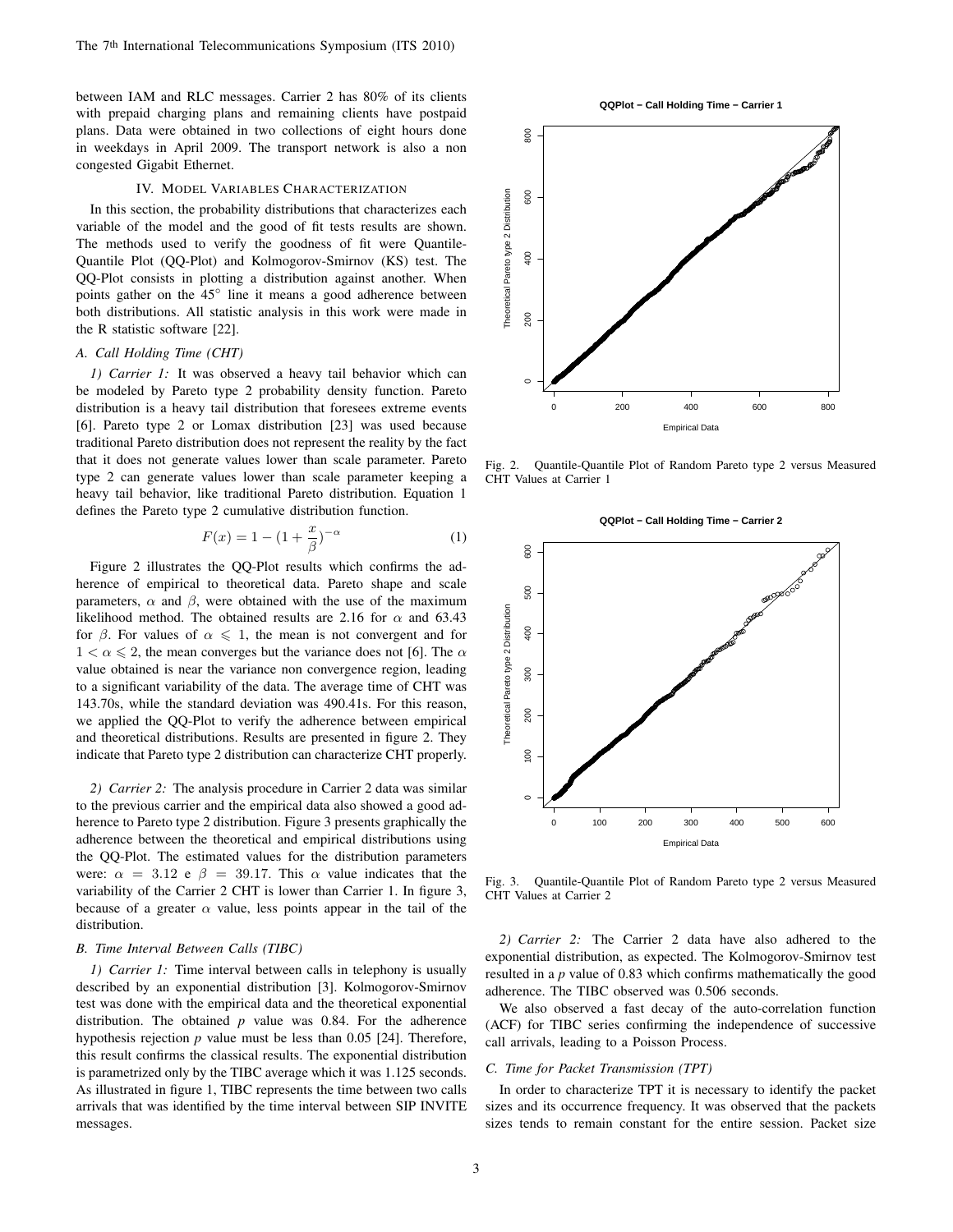between IAM and RLC messages. Carrier 2 has 80% of its clients with prepaid charging plans and remaining clients have postpaid plans. Data were obtained in two collections of eight hours done in weekdays in April 2009. The transport network is also a non congested Gigabit Ethernet.

# IV. MODEL VARIABLES CHARACTERIZATION

In this section, the probability distributions that characterizes each variable of the model and the good of fit tests results are shown. The methods used to verify the goodness of fit were Quantile-Quantile Plot (QQ-Plot) and Kolmogorov-Smirnov (KS) test. The QQ-Plot consists in plotting a distribution against another. When points gather on the 45° line it means a good adherence between both distributions. All statistic analysis in this work were made in the R statistic software [22].

## *A. Call Holding Time (CHT)*

*1) Carrier 1:* It was observed a heavy tail behavior which can be modeled by Pareto type 2 probability density function. Pareto distribution is a heavy tail distribution that foresees extreme events [6]. Pareto type 2 or Lomax distribution [23] was used because traditional Pareto distribution does not represent the reality by the fact that it does not generate values lower than scale parameter. Pareto type 2 can generate values lower than scale parameter keeping a heavy tail behavior, like traditional Pareto distribution. Equation 1 defines the Pareto type 2 cumulative distribution function.

$$
F(x) = 1 - (1 + \frac{x}{\beta})^{-\alpha}
$$
 (1)

Figure 2 illustrates the QQ-Plot results which confirms the adherence of empirical to theoretical data. Pareto shape and scale parameters,  $\alpha$  and  $\beta$ , were obtained with the use of the maximum likelihood method. The obtained results are 2.16 for  $\alpha$  and 63.43 for  $\beta$ . For values of  $\alpha \leq 1$ , the mean is not convergent and for  $1 < \alpha \leq 2$ , the mean converges but the variance does not [6]. The  $\alpha$ value obtained is near the variance non convergence region, leading to a significant variability of the data. The average time of CHT was 143.70s, while the standard deviation was 490.41s. For this reason, we applied the QQ-Plot to verify the adherence between empirical and theoretical distributions. Results are presented in figure 2. They indicate that Pareto type 2 distribution can characterize CHT properly.

*2) Carrier 2:* The analysis procedure in Carrier 2 data was similar to the previous carrier and the empirical data also showed a good adherence to Pareto type 2 distribution. Figure 3 presents graphically the adherence between the theoretical and empirical distributions using the QQ-Plot. The estimated values for the distribution parameters were:  $\alpha = 3.12$  e  $\beta = 39.17$ . This  $\alpha$  value indicates that the variability of the Carrier 2 CHT is lower than Carrier 1. In figure 3, because of a greater  $\alpha$  value, less points appear in the tail of the distribution.

#### *B. Time Interval Between Calls (TIBC)*

*1) Carrier 1:* Time interval between calls in telephony is usually described by an exponential distribution [3]. Kolmogorov-Smirnov test was done with the empirical data and the theoretical exponential distribution. The obtained *p* value was 0.84. For the adherence hypothesis rejection *p* value must be less than 0.05 [24]. Therefore, this result confirms the classical results. The exponential distribution is parametrized only by the TIBC average which it was 1.125 seconds. As illustrated in figure 1, TIBC represents the time between two calls arrivals that was identified by the time interval between SIP INVITE messages.





Fig. 2. Quantile-Quantile Plot of Random Pareto type 2 versus Measured CHT Values at Carrier 1



Fig. 3. Quantile-Quantile Plot of Random Pareto type 2 versus Measured CHT Values at Carrier 2

*2) Carrier 2:* The Carrier 2 data have also adhered to the exponential distribution, as expected. The Kolmogorov-Smirnov test resulted in a *p* value of 0.83 which confirms mathematically the good adherence. The TIBC observed was 0.506 seconds.

We also observed a fast decay of the auto-correlation function (ACF) for TIBC series confirming the independence of successive call arrivals, leading to a Poisson Process.

#### *C. Time for Packet Transmission (TPT)*

In order to characterize TPT it is necessary to identify the packet sizes and its occurrence frequency. It was observed that the packets sizes tends to remain constant for the entire session. Packet size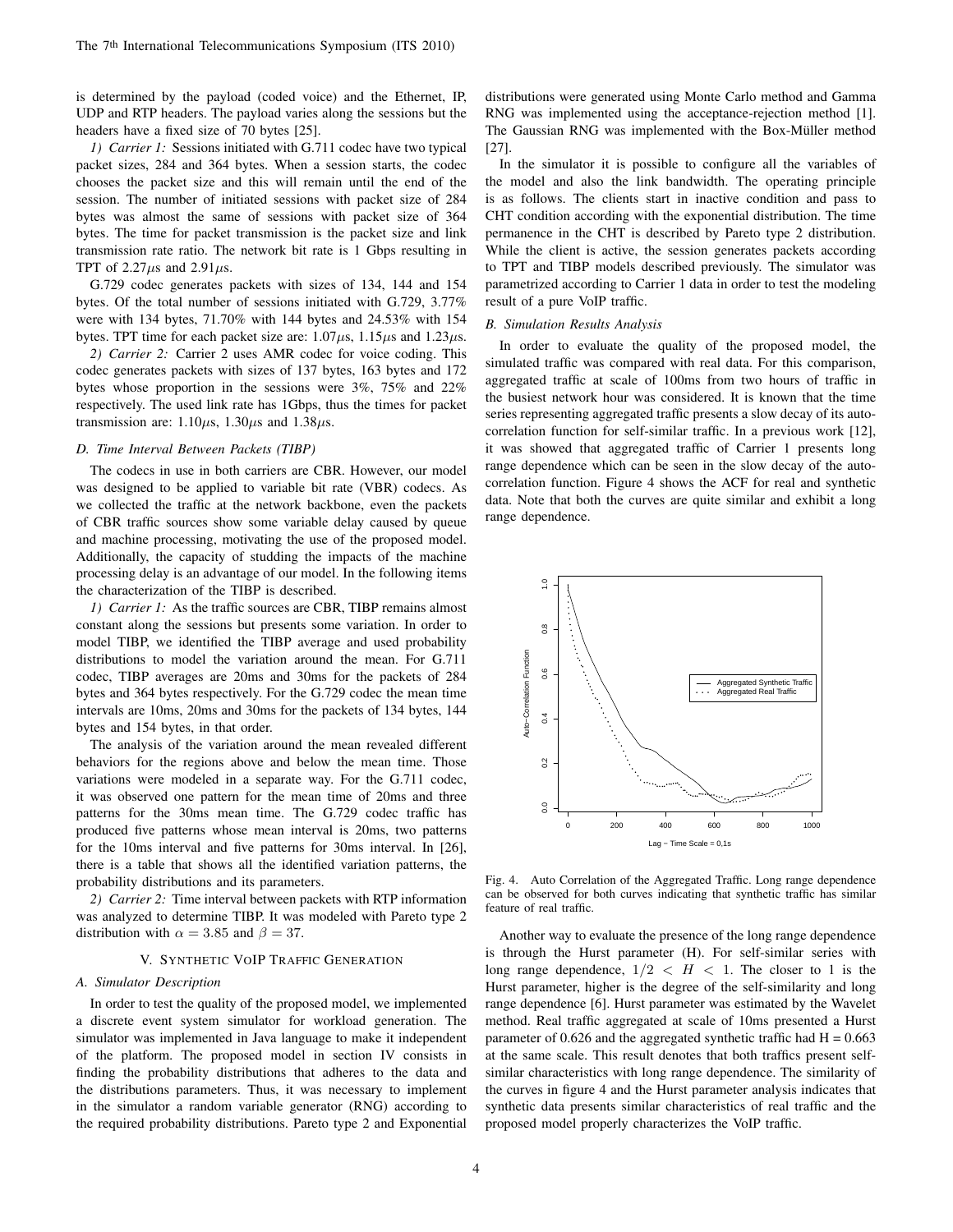is determined by the payload (coded voice) and the Ethernet, IP, UDP and RTP headers. The payload varies along the sessions but the headers have a fixed size of 70 bytes [25].

*1) Carrier 1:* Sessions initiated with G.711 codec have two typical packet sizes, 284 and 364 bytes. When a session starts, the codec chooses the packet size and this will remain until the end of the session. The number of initiated sessions with packet size of 284 bytes was almost the same of sessions with packet size of 364 bytes. The time for packet transmission is the packet size and link transmission rate ratio. The network bit rate is 1 Gbps resulting in TPT of  $2.27\mu s$  and  $2.91\mu s$ .

G.729 codec generates packets with sizes of 134, 144 and 154 bytes. Of the total number of sessions initiated with G.729, 3.77% were with 134 bytes, 71.70% with 144 bytes and 24.53% with 154 bytes. TPT time for each packet size are:  $1.07\mu s$ ,  $1.15\mu s$  and  $1.23\mu s$ .

*2) Carrier 2:* Carrier 2 uses AMR codec for voice coding. This codec generates packets with sizes of 137 bytes, 163 bytes and 172 bytes whose proportion in the sessions were 3%, 75% and 22% respectively. The used link rate has 1Gbps, thus the times for packet transmission are:  $1.10\mu s$ ,  $1.30\mu s$  and  $1.38\mu s$ .

#### *D. Time Interval Between Packets (TIBP)*

The codecs in use in both carriers are CBR. However, our model was designed to be applied to variable bit rate (VBR) codecs. As we collected the traffic at the network backbone, even the packets of CBR traffic sources show some variable delay caused by queue and machine processing, motivating the use of the proposed model. Additionally, the capacity of studding the impacts of the machine processing delay is an advantage of our model. In the following items the characterization of the TIBP is described.

*1) Carrier 1:* As the traffic sources are CBR, TIBP remains almost constant along the sessions but presents some variation. In order to model TIBP, we identified the TIBP average and used probability distributions to model the variation around the mean. For G.711 codec, TIBP averages are 20ms and 30ms for the packets of 284 bytes and 364 bytes respectively. For the G.729 codec the mean time intervals are 10ms, 20ms and 30ms for the packets of 134 bytes, 144 bytes and 154 bytes, in that order.

The analysis of the variation around the mean revealed different behaviors for the regions above and below the mean time. Those variations were modeled in a separate way. For the G.711 codec, it was observed one pattern for the mean time of 20ms and three patterns for the 30ms mean time. The G.729 codec traffic has produced five patterns whose mean interval is 20ms, two patterns for the 10ms interval and five patterns for 30ms interval. In [26], there is a table that shows all the identified variation patterns, the probability distributions and its parameters.

*2) Carrier 2:* Time interval between packets with RTP information was analyzed to determine TIBP. It was modeled with Pareto type 2 distribution with  $\alpha = 3.85$  and  $\beta = 37$ .

## V. SYNTHETIC VOIP TRAFFIC GENERATION

## *A. Simulator Description*

In order to test the quality of the proposed model, we implemented a discrete event system simulator for workload generation. The simulator was implemented in Java language to make it independent of the platform. The proposed model in section IV consists in finding the probability distributions that adheres to the data and the distributions parameters. Thus, it was necessary to implement in the simulator a random variable generator (RNG) according to the required probability distributions. Pareto type 2 and Exponential distributions were generated using Monte Carlo method and Gamma RNG was implemented using the acceptance-rejection method [1]. The Gaussian RNG was implemented with the Box-Müller method [27].

In the simulator it is possible to configure all the variables of the model and also the link bandwidth. The operating principle is as follows. The clients start in inactive condition and pass to CHT condition according with the exponential distribution. The time permanence in the CHT is described by Pareto type 2 distribution. While the client is active, the session generates packets according to TPT and TIBP models described previously. The simulator was parametrized according to Carrier 1 data in order to test the modeling result of a pure VoIP traffic.

#### *B. Simulation Results Analysis*

In order to evaluate the quality of the proposed model, the simulated traffic was compared with real data. For this comparison, aggregated traffic at scale of 100ms from two hours of traffic in the busiest network hour was considered. It is known that the time series representing aggregated traffic presents a slow decay of its autocorrelation function for self-similar traffic. In a previous work [12], it was showed that aggregated traffic of Carrier 1 presents long range dependence which can be seen in the slow decay of the autocorrelation function. Figure 4 shows the ACF for real and synthetic data. Note that both the curves are quite similar and exhibit a long range dependence.



Fig. 4. Auto Correlation of the Aggregated Traffic. Long range dependence can be observed for both curves indicating that synthetic traffic has similar feature of real traffic.

Another way to evaluate the presence of the long range dependence is through the Hurst parameter (H). For self-similar series with long range dependence,  $1/2 < H < 1$ . The closer to 1 is the Hurst parameter, higher is the degree of the self-similarity and long range dependence [6]. Hurst parameter was estimated by the Wavelet method. Real traffic aggregated at scale of 10ms presented a Hurst parameter of 0.626 and the aggregated synthetic traffic had  $H = 0.663$ at the same scale. This result denotes that both traffics present selfsimilar characteristics with long range dependence. The similarity of the curves in figure 4 and the Hurst parameter analysis indicates that synthetic data presents similar characteristics of real traffic and the proposed model properly characterizes the VoIP traffic.